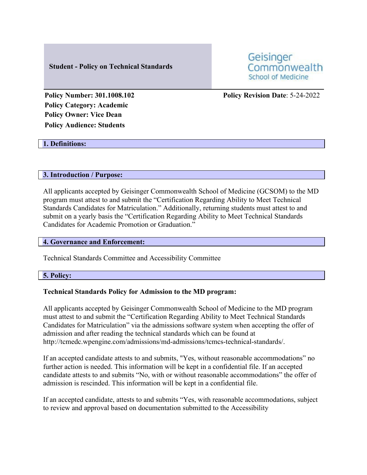### **Student - Policy on Technical Standards**

Geisinger Commonwealth **School of Medicine** 

**Policy Category: Academic Policy Owner: Vice Dean Policy Audience: Students**

# **Policy Number: 301.1008.102 Policy Revision Date**: 5-24-2022

#### **1. Definitions:**

#### **3. Introduction / Purpose:**

All applicants accepted by Geisinger Commonwealth School of Medicine (GCSOM) to the MD program must attest to and submit the "Certification Regarding Ability to Meet Technical Standards Candidates for Matriculation." Additionally, returning students must attest to and submit on a yearly basis the "Certification Regarding Ability to Meet Technical Standards Candidates for Academic Promotion or Graduation."

#### **4. Governance and Enforcement:**

Technical Standards Committee and Accessibility Committee

#### **5. Policy:**

#### **Technical Standards Policy for Admission to the MD program:**

All applicants accepted by Geisinger Commonwealth School of Medicine to the MD program must attest to and submit the "Certification Regarding Ability to Meet Technical Standards Candidates for Matriculation" via the admissions software system when accepting the offer of admission and after reading the technical standards which can be found a[t](http://tcmedc.wpengine.com/admissions/md-admissions/tcmcs-technical-standards/) [http://tcmedc.wpengine.com/admissions/md-admissions/tcmcs-technical-standards/.](http://tcmedc.wpengine.com/admissions/md-admissions/tcmcs-technical-standards/)

If an accepted candidate attests to and submits, "Yes, without reasonable accommodations" no further action is needed. This information will be kept in a confidential file. If an accepted candidate attests to and submits "No, with or without reasonable accommodations" the offer of admission is rescinded. This information will be kept in a confidential file.

If an accepted candidate, attests to and submits "Yes, with reasonable accommodations, subject to review and approval based on documentation submitted to the Accessibility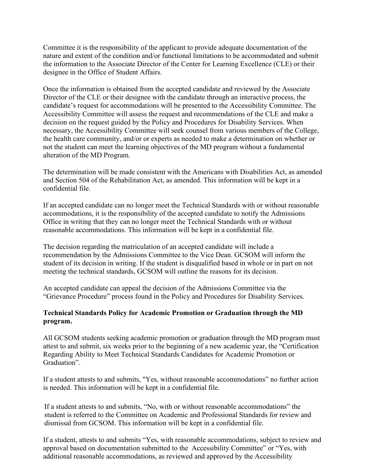Committee it is the responsibility of the applicant to provide adequate documentation of the nature and extent of the condition and/or functional limitations to be accommodated and submit the information to the Associate Director of the Center for Learning Excellence (CLE) or their designee in the Office of Student Affairs.

Once the information is obtained from the accepted candidate and reviewed by the Associate Director of the CLE or their designee with the candidate through an interactive process, the candidate's request for accommodations will be presented to the Accessibility Committee. The Accessibility Committee will assess the request and recommendations of the CLE and make a decision on the request guided by the Policy and Procedures for Disability Services. When necessary, the Accessibility Committee will seek counsel from various members of the College, the health care community, and/or or experts as needed to make a determination on whether or not the student can meet the learning objectives of the MD program without a fundamental alteration of the MD Program.

The determination will be made consistent with the Americans with Disabilities Act, as amended and Section 504 of the Rehabilitation Act, as amended. This information will be kept in a confidential file.

If an accepted candidate can no longer meet the Technical Standards with or without reasonable accommodations, it is the responsibility of the accepted candidate to notify the Admissions Office in writing that they can no longer meet the Technical Standards with or without reasonable accommodations. This information will be kept in a confidential file.

The decision regarding the matriculation of an accepted candidate will include a recommendation by the Admissions Committee to the Vice Dean. GCSOM will inform the student of its decision in writing. If the student is disqualified based in whole or in part on not meeting the technical standards, GCSOM will outline the reasons for its decision.

An accepted candidate can appeal the decision of the Admissions Committee via the "Grievance Procedure" process found in the Policy and Procedures for Disability Services.

## **Technical Standards Policy for Academic Promotion or Graduation through the MD program.**

All GCSOM students seeking academic promotion or graduation through the MD program must attest to and submit, six weeks prior to the beginning of a new academic year, the "Certification Regarding Ability to Meet Technical Standards Candidates for Academic Promotion or Graduation".

If a student attests to and submits, "Yes, without reasonable accommodations" no further action is needed. This information will be kept in a confidential file.

If a student attests to and submits, "No, with or without reasonable accommodations" the student is referred to the Committee on Academic and Professional Standards for review and dismissal from GCSOM. This information will be kept in a confidential file.

If a student, attests to and submits "Yes, with reasonable accommodations, subject to review and approval based on documentation submitted to the Accessibility Committee" or "Yes, with additional reasonable accommodations, as reviewed and approved by the Accessibility